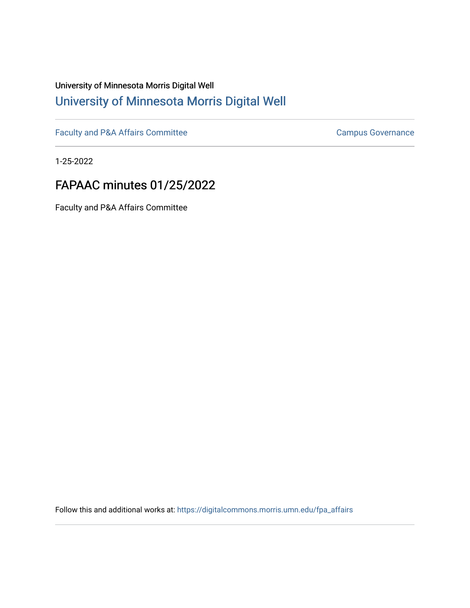# University of Minnesota Morris Digital Well [University of Minnesota Morris Digital Well](https://digitalcommons.morris.umn.edu/)

[Faculty and P&A Affairs Committee](https://digitalcommons.morris.umn.edu/fpa_affairs) [Campus Governance](https://digitalcommons.morris.umn.edu/campgov) Campus Governance

1-25-2022

# FAPAAC minutes 01/25/2022

Faculty and P&A Affairs Committee

Follow this and additional works at: [https://digitalcommons.morris.umn.edu/fpa\\_affairs](https://digitalcommons.morris.umn.edu/fpa_affairs?utm_source=digitalcommons.morris.umn.edu%2Ffpa_affairs%2F197&utm_medium=PDF&utm_campaign=PDFCoverPages)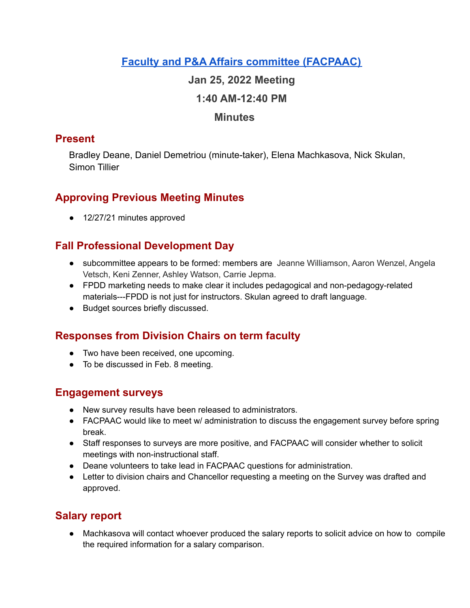# **Faculty and P&A Affairs committee [\(FACPAAC\)](https://committees.morris.umn.edu/faculty-and-pa-affairs-committee)**

### **Jan 25, 2022 Meeting**

### **1:40 AM-12:40 PM**

#### **Minutes**

### **Present**

Bradley Deane, Daniel Demetriou (minute-taker), Elena Machkasova, Nick Skulan, Simon Tillier

# **Approving Previous Meeting Minutes**

● 12/27/21 minutes approved

## **Fall Professional Development Day**

- subcommittee appears to be formed: members are Jeanne Williamson, Aaron Wenzel, Angela Vetsch, Keni Zenner, Ashley Watson, Carrie Jepma.
- FPDD marketing needs to make clear it includes pedagogical and non-pedagogy-related materials---FPDD is not just for instructors. Skulan agreed to draft language.
- Budget sources briefly discussed.

# **Responses from Division Chairs on term faculty**

- Two have been received, one upcoming.
- To be discussed in Feb. 8 meeting.

### **Engagement surveys**

- New survey results have been released to administrators.
- FACPAAC would like to meet w/ administration to discuss the engagement survey before spring break.
- Staff responses to surveys are more positive, and FACPAAC will consider whether to solicit meetings with non-instructional staff.
- Deane volunteers to take lead in FACPAAC questions for administration.
- Letter to division chairs and Chancellor requesting a meeting on the Survey was drafted and approved.

# **Salary report**

● Machkasova will contact whoever produced the salary reports to solicit advice on how to compile the required information for a salary comparison.